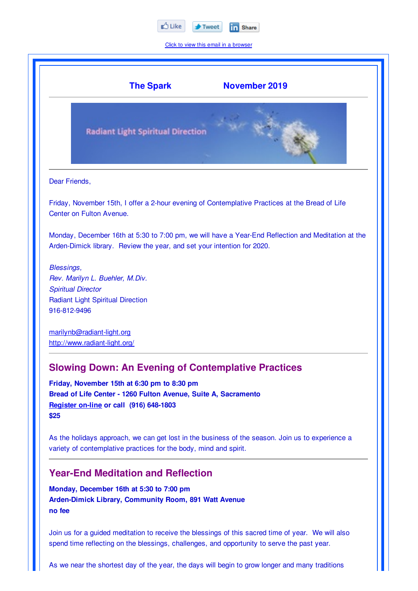

Click to view this email in a browser

|               | <b>The Spark</b>                                                        | <b>November 2019</b>                                                                               |
|---------------|-------------------------------------------------------------------------|----------------------------------------------------------------------------------------------------|
|               | <b>Radiant Light Spiritual Direction</b>                                |                                                                                                    |
| Dear Friends, |                                                                         |                                                                                                    |
|               | Center on Fulton Avenue.                                                | Friday, November 15th, I offer a 2-hour evening of Contemplative Practices at the Bread of Life    |
|               | Arden-Dimick library. Review the year, and set your intention for 2020. | Monday, December 16th at 5:30 to 7:00 pm, we will have a Year-End Reflection and Meditation at the |
| Blessings,    |                                                                         |                                                                                                    |
|               | Rev. Marilyn L. Buehler, M.Div.                                         |                                                                                                    |
|               | <b>Spiritual Director</b>                                               |                                                                                                    |
| 916-812-9496  | <b>Radiant Light Spiritual Direction</b>                                |                                                                                                    |
|               |                                                                         |                                                                                                    |
|               | marilynb@radiant-light.org<br>http://www.radiant-light.org/             |                                                                                                    |

# **Year-End Meditation and Reflection**

**Monday, December 16th at 5:30 to 7:00 pm Arden-Dimick Library, Community Room, 891 Watt Avenue no fee**

Join us for a guided meditation to receive the blessings of this sacred time of year. We will also spend time reflecting on the blessings, challenges, and opportunity to serve the past year.

As we near the shortest day of the year, the days will begin to grow longer and many traditions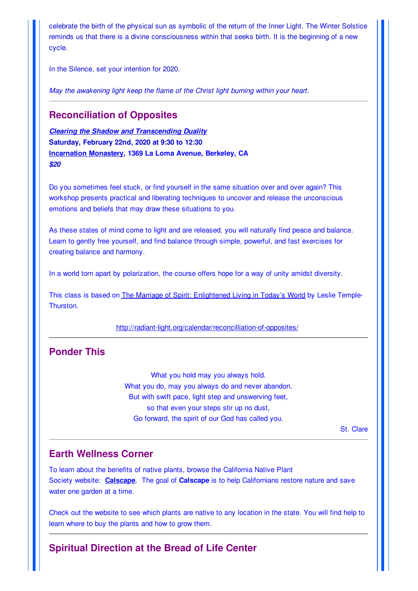celebrate the birth of the physical sun as symbolic of the return of the Inner Light. The Winter Solstice reminds us that there is a divine consciousness within that seeks birth. It is the beginning of a new cycle.

In the Silence, set your intention for 2020.

*May the awakening light keep the flame of the Christ light burning within your heart.*

#### **Reconciliation of Opposites**

*Clearing the Shadow and Transcending Duality* **Saturday, February 22nd, 2020 at 9:30 to 12:30 Incarnation Monastery***,* **1369 La Loma Avenue, Berkeley, CA** *\$20*

Do you sometimes feel stuck, or find yourself in the same situation over and over again? This workshop presents practical and liberating techniques to uncover and release the unconscious emotions and beliefs that may draw these situations to you.

As these states of mind come to light and are released, you will naturally find peace and balance. Learn to gently free yourself, and find balance through simple, powerful, and fast exercises for creating balance and harmony.

In a world torn apart by polarization, the course offers hope for a way of unity amidst diversity.

This class is based on The Marriage of Spirit: Enlightened Living in Today's World by Leslie Temple-**Thurston** 

http://radiant-light.org/calendar/reconcilliation-of-opposites/

## **Ponder This**

What you hold may you always hold. What you do, may you always do and never abandon. But with swift pace, light step and unswerving feet, so that even your steps stir up no dust, Go forward, the spirit of our God has called you.

St. Clare

#### **Earth Wellness Corner**

To learn about the benefits of native plants, browse the California Native Plant Society website: **Calscape**. The goal of **Calscape** is to help Californians restore nature and save water one garden at a time.

Check out the website to see which plants are native to any location in the state. You will find help to learn where to buy the plants and how to grow them.

## **Spiritual Direction at the Bread of Life Center**